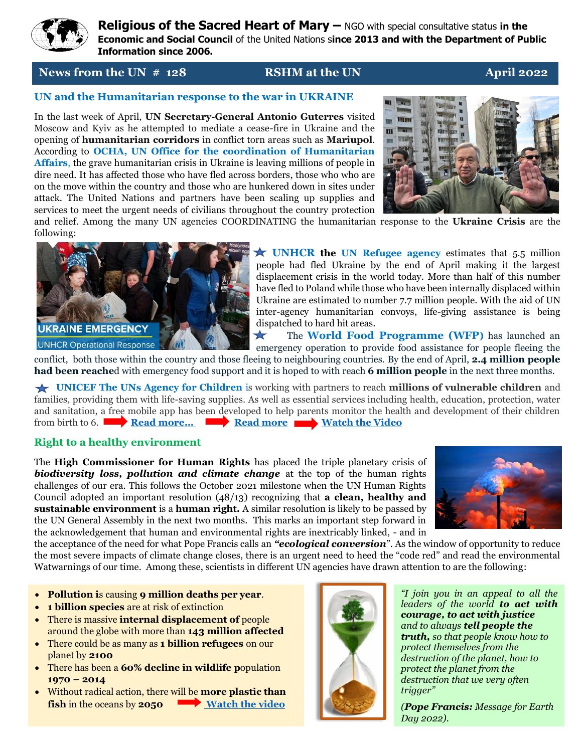

**Religious of the Sacred Heart of Mary –** NGO with special consultative status **in the Economic and Social Council** of the United Nations s**ince 2013 and with the Department of Public Information since 2006.**

## News from the UN # 128 RSHM at the UN April 2022

# **UN and the Humanitarian response to the war in UKRAINE**

In the last week of April, **UN Secretary-General Antonio Guterres** visited Moscow and Kyiv as he attempted to mediate a cease-fire in Ukraine and the opening of **humanitarian corridors** in conflict torn areas such as **Mariupol**. According to **OCHA, UN Office for the coordination of Humanitarian Affairs**, the grave humanitarian crisis in Ukraine is leaving millions of people in dire need. It has affected those who have fled across borders, those who who are on the move within the country and those who are hunkered down in sites under attack. The United Nations and partners have been scaling up supplies and services to meet the urgent needs of civilians throughout the country protection



and relief. Among the many UN agencies COORDINATING the humanitarian response to the **Ukraine Crisis** are the following:



 **UNHCR the UN Refugee agency** estimates that 5.5 million people had fled Ukraine by the end of April making it the largest displacement crisis in the world today. More than half of this number have fled to Poland while those who have been internally displaced within Ukraine are estimated to number 7.7 million people. With the aid of UN inter-agency humanitarian convoys, life-giving assistance is being dispatched to hard hit areas.

 $\bigstar$  The **World Food Programme (WFP)** has launched an emergency operation to provide food assistance for people fleeing the

conflict, both those within the country and those fleeing to neighbouring countries. By the end of April, **2.4 million people had been reache**d with emergency food support and it is hoped to with reach **6 million people** in the next three months.

 **UNICEF The UNs Agency for Children** is working with partners to reach **millions of vulnerable children** and families, providing them with life-saving supplies. As well as essential services including health, education, protection, water and sanitation, a free mobile app has been developed to help parents monitor the health and development of their children **From birth to 6. Read more... Read more 3. All [Read more](https://news.un.org/en/story/2022/04/1116882) 3. [Watch the Video](https://youtu.be/P4sFq9Qi-Vk)** 

## **Right to a healthy environment**

The **High Commissioner for Human Rights** has placed the triple planetary crisis of *biodiversity loss, pollution and climate change* at the top of the human rights challenges of our era. This follows the October 2021 milestone when the UN Human Rights Council adopted an important resolution (48/13) recognizing that **a clean, healthy and sustainable environment** is a **human right.** A similar resolution is likely to be passed by the UN General Assembly in the next two months. This marks an important step forward in the acknowledgement that human and environmental rights are inextricably linked, - and in



the acceptance of the need for what Pope Francis calls an *"ecological conversion*". As the window of opportunity to reduce the most severe impacts of climate change closes, there is an urgent need to heed the "code red" and read the environmental Watwarnings of our time. Among these, scientists in different UN agencies have drawn attention to are the following:

- **Pollution i**s causing **9 million deaths per year**.
- **1 billion species** are at risk of extinction
- There is massive **internal displacement of** people around the globe with more than **143 million affected**
- There could be as many as **1 billion refugees** on our planet by **2100**
- There has been a **60% decline in wildlife p**opulation **1970 – 2014**
- Without radical action, there will be **more plastic than fish** in the oceans by **2050 [Watch the video](https://youtu.be/ytDeHt6u374)**



*"I join you in an appeal to all the leaders of the world to act with courage, to act with justice and to always tell people the truth, so that people know how to protect themselves from the destruction of the planet, how to protect the planet from the destruction that we very often trigger"*

*(Pope Francis: Message for Earth Day 2022).*